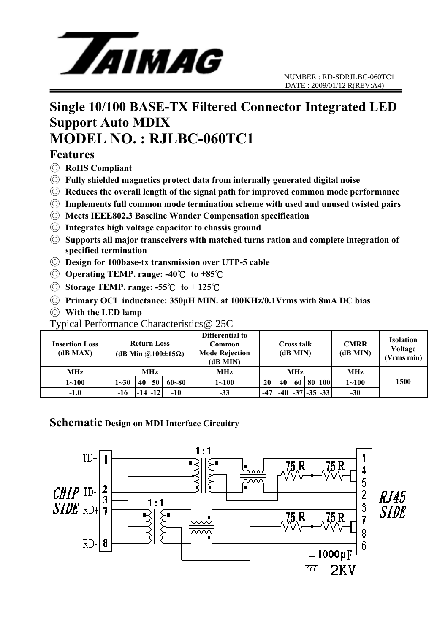

## **Single 10/100 BASE-TX Filtered Connector Integrated LED Support Auto MDIX MODEL NO. : RJLBC-060TC1**

#### **Features**

- ◎ **RoHS Compliant**
- ◎ **Fully shielded magnetics protect data from internally generated digital noise**
- ◎ **Reduces the overall length of the signal path for improved common mode performance**
- ◎ **Implements full common mode termination scheme with used and unused twisted pairs**
- ◎ **Meets IEEE802.3 Baseline Wander Compensation specification**
- ◎ **Integrates high voltage capacitor to chassis ground**
- ◎ **Supports all major transceivers with matched turns ration and complete integration of specified termination**
- ◎ **Design for 100base-tx transmission over UTP-5 cable**
- ◎ **Operating TEMP. range: -40**℃ **to +85**℃
- ◎ **Storage TEMP. range: -55**℃ **to + 125**℃
- ◎ **Primary OCL inductance: 350μH MIN. at 100KHz/0.1Vrms with 8mA DC bias**
- ◎ **With the LED lamp**

#### Typical Performance Characteristics@ 25C

| <b>Insertion Loss</b><br>(dB MAX) | <b>Return Loss</b><br>(dB Min @100 $\pm$ 15 $\Omega$ ) |    |             |           | Differential to<br>Common<br><b>Mode Rejection</b><br>(dB MIN) | <b>Cross talk</b><br>(dB MIN) |    |    |  | <b>CMRR</b><br>(dB MIN) | <b>Isolation</b><br>Voltage<br>(Vrms min) |      |
|-----------------------------------|--------------------------------------------------------|----|-------------|-----------|----------------------------------------------------------------|-------------------------------|----|----|--|-------------------------|-------------------------------------------|------|
| MHz                               | MHz                                                    |    |             |           | MHz                                                            | <b>MHz</b>                    |    |    |  |                         | MHz                                       |      |
| $1 - 100$                         | $1 - 30$                                               | 40 | 50          | $60 - 80$ | $1 - 100$                                                      | 20                            | 40 | 60 |  | 80 100                  | $1 - 100$                                 | 1500 |
| $-1.0$                            | -16                                                    |    | $-14$ $-12$ | $-10$     | $-33$                                                          | $-47$                         |    |    |  | $-37$ $-35$ $-33$       | $-30$                                     |      |

#### **Schematic Design on MDI Interface Circuitry**

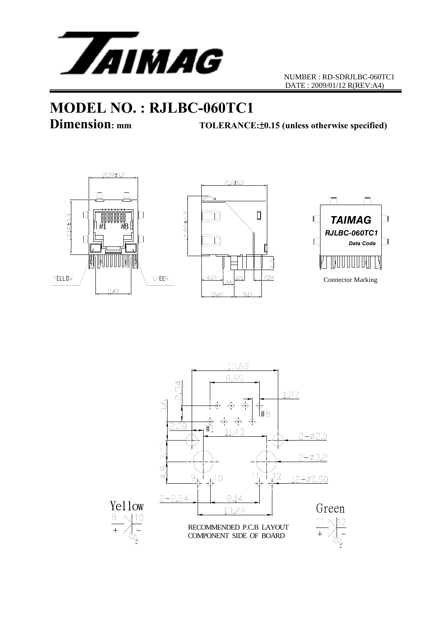

# **MODEL NO. : RJLBC-060TC1**<br>Dimension: mm<br>TOLERANCE

**Dimension: mm TOLERANCE:**±**0.15 (unless otherwise specified)**







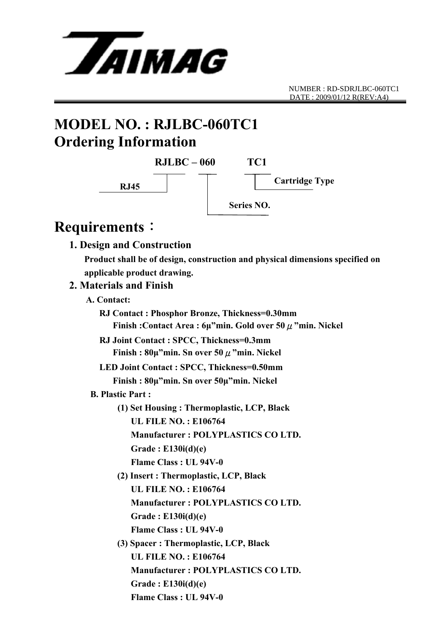

NUMBER : RD-SDRJLBC-060TC1 DATE : 2009/01/12 R(REV:A4)

# **MODEL NO. : RJLBC-060TC1 Ordering Information**



## **Requirements**:

#### **1. Design and Construction**

 **Product shall be of design, construction and physical dimensions specified on applicable product drawing.** 

#### **2. Materials and Finish**

#### **A. Contact:**

 **RJ Contact : Phosphor Bronze, Thickness=0.30mm Finish :Contact Area : 6μ"min. Gold over 50**μ**"min. Nickel RJ Joint Contact : SPCC, Thickness=0.3mm Finish : 80μ"min. Sn over 50**μ**"min. Nickel LED Joint Contact : SPCC, Thickness=0.50mm Finish : 80μ"min. Sn over 50μ"min. Nickel B. Plastic Part : (1) Set Housing : Thermoplastic, LCP, Black UL FILE NO. : E106764 Manufacturer : POLYPLASTICS CO LTD. Grade : E130i(d)(e) Flame Class : UL 94V-0 (2) Insert : Thermoplastic, LCP, Black UL FILE NO. : E106764 Manufacturer : POLYPLASTICS CO LTD. Grade : E130i(d)(e) Flame Class : UL 94V-0 (3) Spacer : Thermoplastic, LCP, Black UL FILE NO. : E106764 Manufacturer : POLYPLASTICS CO LTD. Grade : E130i(d)(e) Flame Class : UL 94V-0**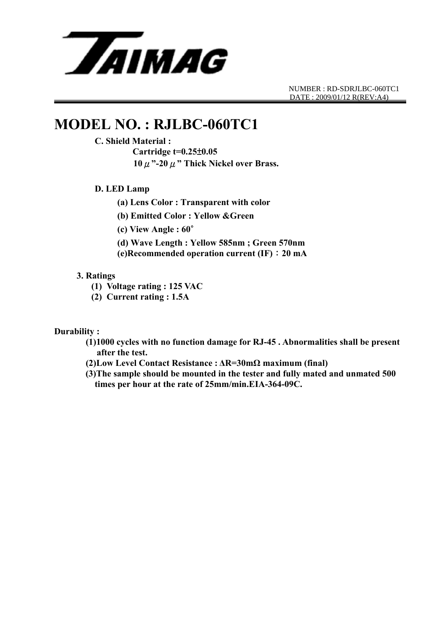

NUMBER : RD-SDRJLBC-060TC1 DATE : 2009/01/12 R(REV:A4)

## **MODEL NO. : RJLBC-060TC1**

#### **C. Shield Material :**

 **Cartridge t=0.25**±**0.05 10**μ**"-20**μ**" Thick Nickel over Brass.** 

#### **D. LED Lamp**

 **(a) Lens Color : Transparent with color** 

 **(b) Emitted Color : Yellow &Green** 

 **(c) View Angle : 60**∘

 **(d) Wave Length : Yellow 585nm ; Green 570nm** 

 **(e)Recommended operation current (IF)**:**20 mA**

#### **3. Ratings**

**(1) Voltage rating : 125 VAC** 

**(2) Current rating : 1.5A** 

#### **Durability :**

- **(1)1000 cycles with no function damage for RJ-45 . Abnormalities shall be present after the test.**
- **(2)Low Level Contact Resistance : ΔR=30mΩ maximum (final)**
- **(3)The sample should be mounted in the tester and fully mated and unmated 500 times per hour at the rate of 25mm/min.EIA-364-09C.**